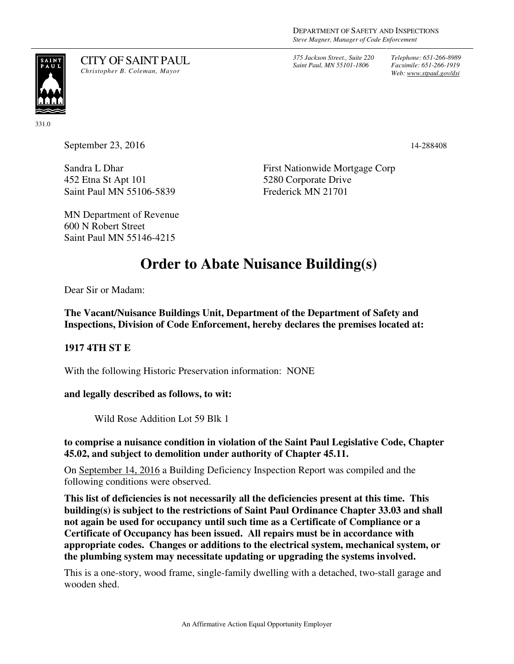*375 Jackson Street., Suite 220 Saint Paul, MN 55101-1806*

*Telephone: 651-266-8989 Facsimile: 651-266-1919 Web: www.stpaul.gov/dsi*



CITY OF SAINT PAUL *Christopher B. Coleman, Mayor* 

331.0

September 23, 2016 14-288408

Sandra L Dhar 452 Etna St Apt 101 Saint Paul MN 55106-5839 First Nationwide Mortgage Corp 5280 Corporate Drive Frederick MN 21701

MN Department of Revenue 600 N Robert Street Saint Paul MN 55146-4215

# **Order to Abate Nuisance Building(s)**

Dear Sir or Madam:

**The Vacant/Nuisance Buildings Unit, Department of the Department of Safety and Inspections, Division of Code Enforcement, hereby declares the premises located at:** 

## **1917 4TH ST E**

With the following Historic Preservation information: NONE

#### **and legally described as follows, to wit:**

Wild Rose Addition Lot 59 Blk 1

**to comprise a nuisance condition in violation of the Saint Paul Legislative Code, Chapter 45.02, and subject to demolition under authority of Chapter 45.11.** 

On September 14, 2016 a Building Deficiency Inspection Report was compiled and the following conditions were observed.

**This list of deficiencies is not necessarily all the deficiencies present at this time. This building(s) is subject to the restrictions of Saint Paul Ordinance Chapter 33.03 and shall not again be used for occupancy until such time as a Certificate of Compliance or a Certificate of Occupancy has been issued. All repairs must be in accordance with appropriate codes. Changes or additions to the electrical system, mechanical system, or the plumbing system may necessitate updating or upgrading the systems involved.** 

This is a one-story, wood frame, single-family dwelling with a detached, two-stall garage and wooden shed.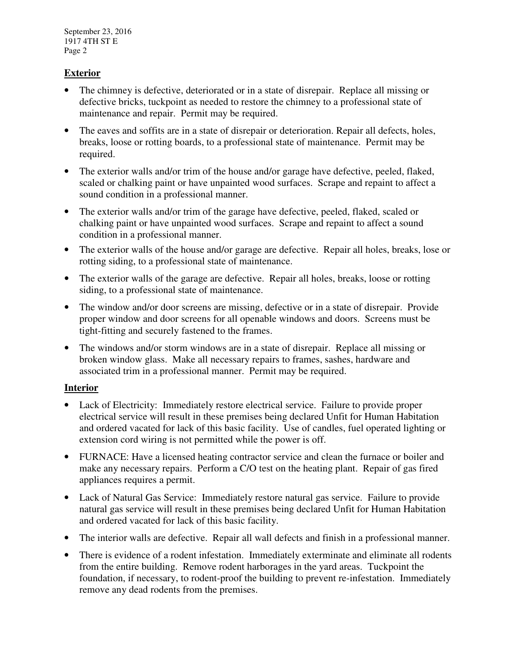September 23, 2016 1917 4TH ST E Page 2

## **Exterior**

- The chimney is defective, deteriorated or in a state of disrepair. Replace all missing or defective bricks, tuckpoint as needed to restore the chimney to a professional state of maintenance and repair. Permit may be required.
- The eaves and soffits are in a state of disrepair or deterioration. Repair all defects, holes, breaks, loose or rotting boards, to a professional state of maintenance. Permit may be required.
- The exterior walls and/or trim of the house and/or garage have defective, peeled, flaked, scaled or chalking paint or have unpainted wood surfaces. Scrape and repaint to affect a sound condition in a professional manner.
- The exterior walls and/or trim of the garage have defective, peeled, flaked, scaled or chalking paint or have unpainted wood surfaces. Scrape and repaint to affect a sound condition in a professional manner.
- The exterior walls of the house and/or garage are defective. Repair all holes, breaks, lose or rotting siding, to a professional state of maintenance.
- The exterior walls of the garage are defective. Repair all holes, breaks, loose or rotting siding, to a professional state of maintenance.
- The window and/or door screens are missing, defective or in a state of disrepair. Provide proper window and door screens for all openable windows and doors. Screens must be tight-fitting and securely fastened to the frames.
- The windows and/or storm windows are in a state of disrepair. Replace all missing or broken window glass. Make all necessary repairs to frames, sashes, hardware and associated trim in a professional manner. Permit may be required.

#### **Interior**

- Lack of Electricity: Immediately restore electrical service. Failure to provide proper electrical service will result in these premises being declared Unfit for Human Habitation and ordered vacated for lack of this basic facility. Use of candles, fuel operated lighting or extension cord wiring is not permitted while the power is off.
- FURNACE: Have a licensed heating contractor service and clean the furnace or boiler and make any necessary repairs. Perform a C/O test on the heating plant. Repair of gas fired appliances requires a permit.
- Lack of Natural Gas Service: Immediately restore natural gas service. Failure to provide natural gas service will result in these premises being declared Unfit for Human Habitation and ordered vacated for lack of this basic facility.
- The interior walls are defective. Repair all wall defects and finish in a professional manner.
- There is evidence of a rodent infestation. Immediately exterminate and eliminate all rodents from the entire building. Remove rodent harborages in the yard areas. Tuckpoint the foundation, if necessary, to rodent-proof the building to prevent re-infestation. Immediately remove any dead rodents from the premises.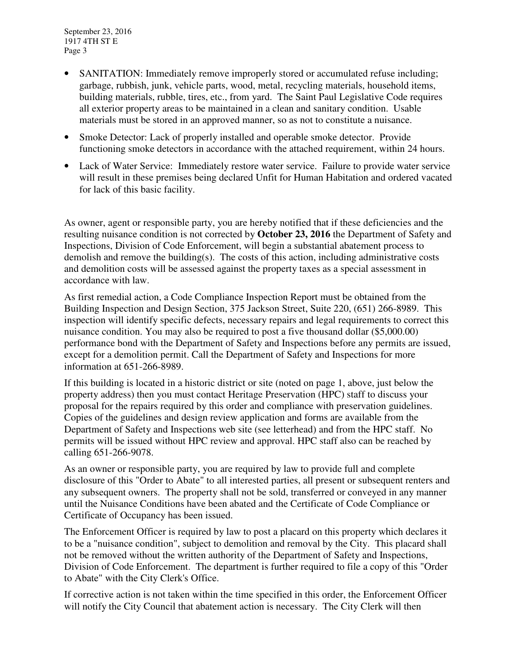September 23, 2016 1917 4TH ST E Page 3

- SANITATION: Immediately remove improperly stored or accumulated refuse including; garbage, rubbish, junk, vehicle parts, wood, metal, recycling materials, household items, building materials, rubble, tires, etc., from yard. The Saint Paul Legislative Code requires all exterior property areas to be maintained in a clean and sanitary condition. Usable materials must be stored in an approved manner, so as not to constitute a nuisance.
- Smoke Detector: Lack of properly installed and operable smoke detector. Provide functioning smoke detectors in accordance with the attached requirement, within 24 hours.
- Lack of Water Service: Immediately restore water service. Failure to provide water service will result in these premises being declared Unfit for Human Habitation and ordered vacated for lack of this basic facility.

As owner, agent or responsible party, you are hereby notified that if these deficiencies and the resulting nuisance condition is not corrected by **October 23, 2016** the Department of Safety and Inspections, Division of Code Enforcement, will begin a substantial abatement process to demolish and remove the building(s). The costs of this action, including administrative costs and demolition costs will be assessed against the property taxes as a special assessment in accordance with law.

As first remedial action, a Code Compliance Inspection Report must be obtained from the Building Inspection and Design Section, 375 Jackson Street, Suite 220, (651) 266-8989. This inspection will identify specific defects, necessary repairs and legal requirements to correct this nuisance condition. You may also be required to post a five thousand dollar (\$5,000.00) performance bond with the Department of Safety and Inspections before any permits are issued, except for a demolition permit. Call the Department of Safety and Inspections for more information at 651-266-8989.

If this building is located in a historic district or site (noted on page 1, above, just below the property address) then you must contact Heritage Preservation (HPC) staff to discuss your proposal for the repairs required by this order and compliance with preservation guidelines. Copies of the guidelines and design review application and forms are available from the Department of Safety and Inspections web site (see letterhead) and from the HPC staff. No permits will be issued without HPC review and approval. HPC staff also can be reached by calling 651-266-9078.

As an owner or responsible party, you are required by law to provide full and complete disclosure of this "Order to Abate" to all interested parties, all present or subsequent renters and any subsequent owners. The property shall not be sold, transferred or conveyed in any manner until the Nuisance Conditions have been abated and the Certificate of Code Compliance or Certificate of Occupancy has been issued.

The Enforcement Officer is required by law to post a placard on this property which declares it to be a "nuisance condition", subject to demolition and removal by the City. This placard shall not be removed without the written authority of the Department of Safety and Inspections, Division of Code Enforcement. The department is further required to file a copy of this "Order to Abate" with the City Clerk's Office.

If corrective action is not taken within the time specified in this order, the Enforcement Officer will notify the City Council that abatement action is necessary. The City Clerk will then